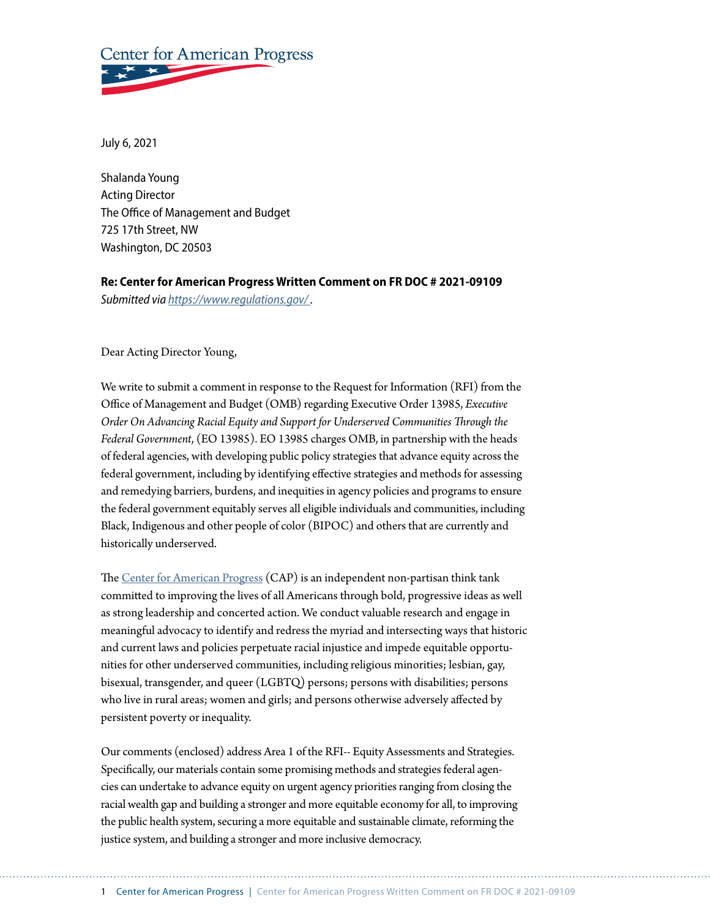# **Center for American Progress**

July 6, 2021

Shalanda Young Acting Director The Office of Management and Budget 725 17th Street, NW Washington, DC 20503

**Re: Center for American Progress Written Comment on FR DOC # 2021-09109**  *Submitted via [https://www.regulations.gov/ .](https://www.regulations.gov/)*

Dear Acting Director Young,

We write to submit a comment in response to the Request for Information (RFI) from the Office of Management and Budget (OMB) regarding Executive Order 13985, *Executive Order On Advancing Racial Equity and Support for Underserved Communities Through the Federal Government*, (EO 13985). EO 13985 charges OMB, in partnership with the heads of federal agencies, with developing public policy strategies that advance equity across the federal government, including by identifying effective strategies and methods for assessing and remedying barriers, burdens, and inequities in agency policies and programs to ensure the federal government equitably serves all eligible individuals and communities, including Black, Indigenous and other people of color (BIPOC) and others that are currently and historically underserved.

The [Center for American Progress](https://www.americanprogress.org/) (CAP) is an independent non-partisan think tank committed to improving the lives of all Americans through bold, progressive ideas as well as strong leadership and concerted action. We conduct valuable research and engage in meaningful advocacy to identify and redress the myriad and intersecting ways that historic and current laws and policies perpetuate racial injustice and impede equitable opportunities for other underserved communities, including religious minorities; lesbian, gay, bisexual, transgender, and queer (LGBTQ) persons; persons with disabilities; persons who live in rural areas; women and girls; and persons otherwise adversely affected by persistent poverty or inequality.

Our comments (enclosed) address Area 1 of the RFI-- Equity Assessments and Strategies. Specifically, our materials contain some promising methods and strategies federal agencies can undertake to advance equity on urgent agency priorities ranging from closing the racial wealth gap and building a stronger and more equitable economy for all, to improving the public health system, securing a more equitable and sustainable climate, reforming the justice system, and building a stronger and more inclusive democracy.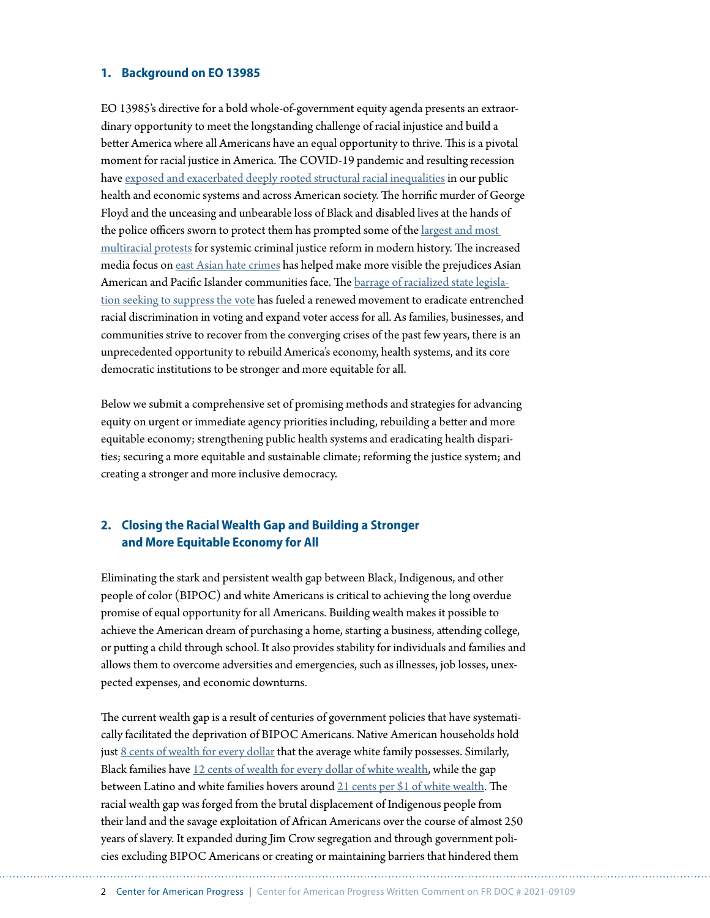#### **1. Background on EO 13985**

EO 13985's directive for a bold whole-of-government equity agenda presents an extraordinary opportunity to meet the longstanding challenge of racial injustice and build a better America where all Americans have an equal opportunity to thrive. This is a pivotal moment for racial justice in America. The COVID-19 pandemic and resulting recession have [exposed and exacerbated deeply rooted structural racial inequalities](https://www.americanprogress.org/issues/race/news/2020/06/10/486095/coronavirus-crisis-worsening-racial-inequality/) in our public health and economic systems and across American society. The horrific murder of George Floyd and the unceasing and unbearable loss of Black and disabled lives at the hands of the police officers sworn to protect them has prompted some of the [largest and most](https://www.nytimes.com/2020/06/12/us/george-floyd-white-protesters.html)  [multiracial protests](https://www.nytimes.com/2020/06/12/us/george-floyd-white-protesters.html) for systemic criminal justice reform in modern history. The increased media focus on [east Asian hate](https://www.nbcnews.com/news/asian-america/new-report-finds-169-percent-surge-anti-asian-hate-crimes-n1265756) crimes has helped make more visible the prejudices Asian American and Pacific Islander communities face. The [barrage of racialized state legisla](https://www.brennancenter.org/our-work/research-reports/voting-laws-roundup-may-2021)[tion seeking to suppress the vote](https://www.brennancenter.org/our-work/research-reports/voting-laws-roundup-may-2021) has fueled a renewed movement to eradicate entrenched racial discrimination in voting and expand voter access for all. As families, businesses, and communities strive to recover from the converging crises of the past few years, there is an unprecedented opportunity to rebuild America's economy, health systems, and its core democratic institutions to be stronger and more equitable for all.

Below we submit a comprehensive set of promising methods and strategies for advancing equity on urgent or immediate agency priorities including, rebuilding a better and more equitable economy; strengthening public health systems and eradicating health disparities; securing a more equitable and sustainable climate; reforming the justice system; and creating a stronger and more inclusive democracy.

# **2. Closing the Racial Wealth Gap and Building a Stronger and More Equitable Economy for All**

Eliminating the stark and persistent wealth gap between Black, Indigenous, and other people of color (BIPOC) and white Americans is critical to achieving the long overdue promise of equal opportunity for all Americans. Building wealth makes it possible to achieve the American dream of purchasing a home, starting a business, attending college, or putting a child through school. It also provides stability for individuals and families and allows them to overcome adversities and emergencies, such as illnesses, job losses, unexpected expenses, and economic downturns.

The current wealth gap is a result of centuries of government policies that have systematically facilitated the deprivation of BIPOC Americans. Native American households hold just [8 cents of wealth for every dollar](https://www.nicoa.org/native-households-make-8-cents-for-every-dollar-a-white-household-has/) that the average white family possesses. Similarly, Black families have [12 cents of wealth for every dollar of white wealth](https://www.stlouisfed.org/on-the-economy/2021/january/wealth-gaps-white-black-hispanic-families-2019), while the gap between Latino and white families hovers around [21 cents per \\$1 of white wealth.](https://www.stlouisfed.org/on-the-economy/2021/january/wealth-gaps-white-black-hispanic-families-2019) The racial wealth gap was forged from the brutal displacement of Indigenous people from their land and the savage exploitation of African Americans over the course of almost 250 years of slavery. It expanded during Jim Crow segregation and through government policies excluding BIPOC Americans or creating or maintaining barriers that hindered them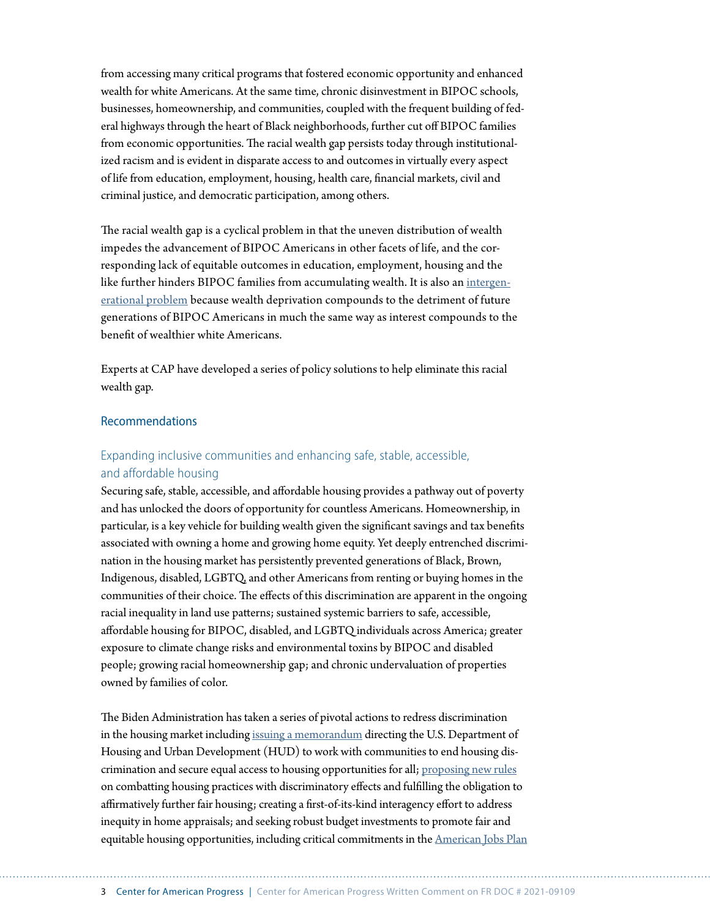from accessing many critical programs that fostered economic opportunity and enhanced wealth for white Americans. At the same time, chronic disinvestment in BIPOC schools, businesses, homeownership, and communities, coupled with the frequent building of federal highways through the heart of Black neighborhoods, further cut off BIPOC families from economic opportunities. The racial wealth gap persists today through institutionalized racism and is evident in disparate access to and outcomes in virtually every aspect of life from education, employment, housing, health care, financial markets, civil and criminal justice, and democratic participation, among others.

The racial wealth gap is a cyclical problem in that the uneven distribution of wealth impedes the advancement of BIPOC Americans in other facets of life, and the corresponding lack of equitable outcomes in education, employment, housing and the like further hinders BIPOC families from accumulating wealth. It is also an [intergen](https://www.americanprogress.org/issues/economy/reports/2021/03/19/497377/eliminating-black-white-wealth-gap-generational-challenge/)[erational problem](https://www.americanprogress.org/issues/economy/reports/2021/03/19/497377/eliminating-black-white-wealth-gap-generational-challenge/) because wealth deprivation compounds to the detriment of future generations of BIPOC Americans in much the same way as interest compounds to the benefit of wealthier white Americans.

Experts at CAP have developed a series of policy solutions to help eliminate this racial wealth gap.

## Recommendations

# Expanding inclusive communities and enhancing safe, stable, accessible, and affordable housing

Securing safe, stable, accessible, and affordable housing provides a pathway out of poverty and has unlocked the doors of opportunity for countless Americans. Homeownership, in particular, is a key vehicle for building wealth given the significant savings and tax benefits associated with owning a home and growing home equity. Yet deeply entrenched discrimination in the housing market has persistently prevented generations of Black, Brown, Indigenous, disabled, LGBTQ, and other Americans from renting or buying homes in the communities of their choice. The effects of this discrimination are apparent in the ongoing racial inequality in land use patterns; sustained systemic barriers to safe, accessible, affordable housing for BIPOC, disabled, and LGBTQ individuals across America; greater exposure to climate change risks and environmental toxins by BIPOC and disabled people; growing racial homeownership gap; and chronic undervaluation of properties owned by families of color.

The Biden Administration has taken a series of pivotal actions to redress discrimination in the housing market including [issuing a memorandum](https://www.whitehouse.gov/briefing-room/presidential-actions/2021/01/26/memorandum-on-redressing-our-nations-and-the-federal-governments-history-of-discriminatory-housing-practices-and-policies/) directing the U.S. Department of Housing and Urban Development (HUD) to work with communities to end housing discrimination and secure equal access to housing opportunities for all; [proposing new rules](https://www.bloomberg.com/news/articles/2021-04-13/biden-to-restore-two-obama-era-fair-housing-rules) on combatting housing practices with discriminatory effects and fulfilling the obligation to affirmatively further fair housing; creating a first-of-its-kind interagency effort to address inequity in home appraisals; and seeking robust budget investments to promote fair and equitable housing opportunities, including critical commitments in the [American Jobs Plan](https://www.whitehouse.gov/american-jobs-plan/)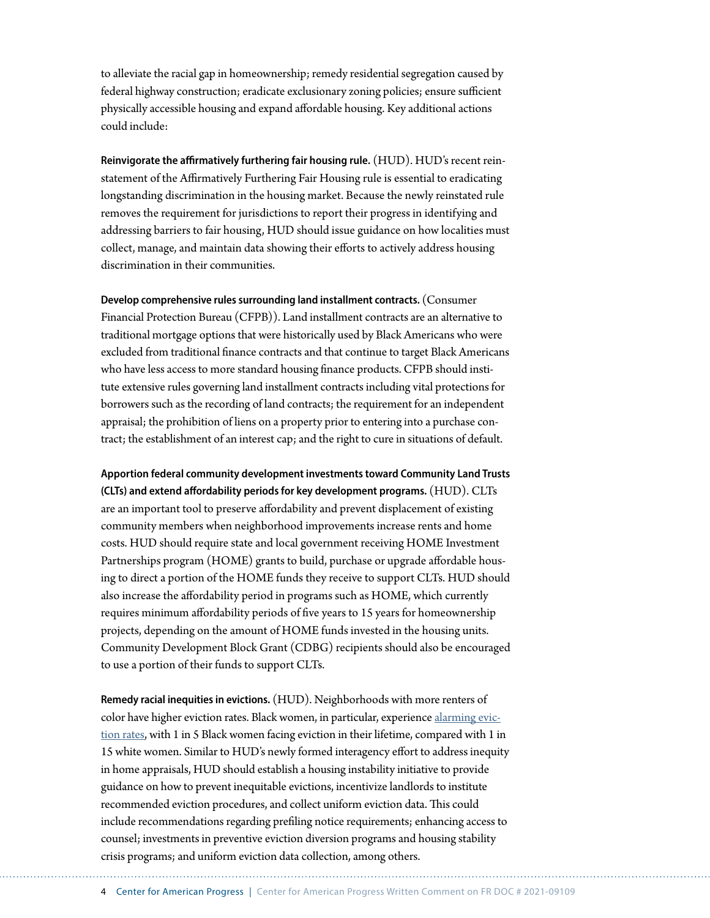to alleviate the racial gap in homeownership; remedy residential segregation caused by federal highway construction; eradicate exclusionary zoning policies; ensure sufficient physically accessible housing and expand affordable housing. Key additional actions could include:

**Reinvigorate the affirmatively furthering fair housing rule.** (HUD). HUD's recent reinstatement of the Affirmatively Furthering Fair Housing rule is essential to eradicating longstanding discrimination in the housing market. Because the newly reinstated rule removes the requirement for jurisdictions to report their progress in identifying and addressing barriers to fair housing, HUD should issue guidance on how localities must collect, manage, and maintain data showing their efforts to actively address housing discrimination in their communities.

**Develop comprehensive rules surrounding land installment contracts.** (Consumer Financial Protection Bureau (CFPB)). Land installment contracts are an alternative to traditional mortgage options that were historically used by Black Americans who were excluded from traditional finance contracts and that continue to target Black Americans who have less access to more standard housing finance products. CFPB should institute extensive rules governing land installment contracts including vital protections for borrowers such as the recording of land contracts; the requirement for an independent appraisal; the prohibition of liens on a property prior to entering into a purchase contract; the establishment of an interest cap; and the right to cure in situations of default.

**Apportion federal community development investments toward Community Land Trusts (CLTs) and extend affordability periods for key development programs.** (HUD). CLTs are an important tool to preserve affordability and prevent displacement of existing community members when neighborhood improvements increase rents and home costs. HUD should require state and local government receiving HOME Investment Partnerships program (HOME) grants to build, purchase or upgrade affordable housing to direct a portion of the HOME funds they receive to support CLTs. HUD should also increase the affordability period in programs such as HOME, which currently requires minimum affordability periods of five years to 15 years for homeownership projects, depending on the amount of HOME funds invested in the housing units. Community Development Block Grant (CDBG) recipients should also be encouraged to use a portion of their funds to support CLTs.

**Remedy racial inequities in evictions.** (HUD). Neighborhoods with more renters of color have higher eviction rates. Black women, in particular, experience [alarming evic](https://www.americanprogress.org/issues/poverty/reports/2020/10/30/492606/pandemic-exacerbated-housing-instability-renters-color/)[tion rates,](https://www.americanprogress.org/issues/poverty/reports/2020/10/30/492606/pandemic-exacerbated-housing-instability-renters-color/) with 1 in 5 Black women facing eviction in their lifetime, compared with 1 in 15 white women. Similar to HUD's newly formed interagency effort to address inequity in home appraisals, HUD should establish a housing instability initiative to provide guidance on how to prevent inequitable evictions, incentivize landlords to institute recommended eviction procedures, and collect uniform eviction data. This could include recommendations regarding prefiling notice requirements; enhancing access to counsel; investments in preventive eviction diversion programs and housing stability crisis programs; and uniform eviction data collection, among others.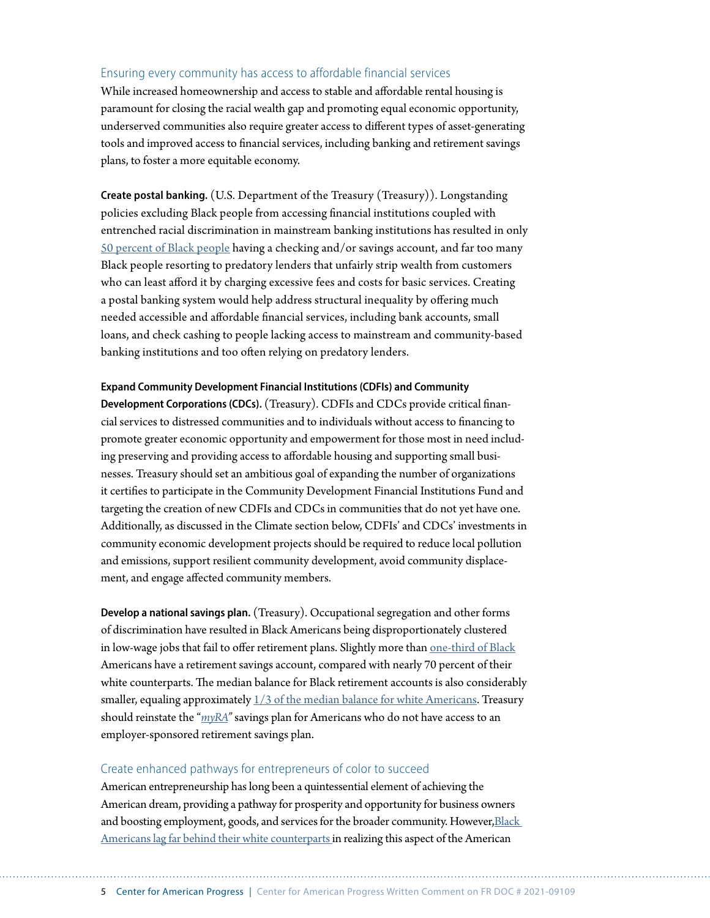## Ensuring every community has access to affordable financial services

While increased homeownership and access to stable and affordable rental housing is paramount for closing the racial wealth gap and promoting equal economic opportunity, underserved communities also require greater access to different types of asset-generating tools and improved access to financial services, including banking and retirement savings plans, to foster a more equitable economy.

**Create postal banking.** (U.S. Department of the Treasury (Treasury)). Longstanding policies excluding Black people from accessing financial institutions coupled with entrenched racial discrimination in mainstream banking institutions has resulted in only [50 percent of Black people](https://www.americanprogress.org/issues/race/reports/2020/10/15/491495/creating-postal-banking-system-help-address-structural-inequality/) having a checking and/or savings account, and far too many Black people resorting to predatory lenders that unfairly strip wealth from customers who can least afford it by charging excessive fees and costs for basic services. Creating a postal banking system would help address structural inequality by offering much needed accessible and affordable financial services, including bank accounts, small loans, and check cashing to people lacking access to mainstream and community-based banking institutions and too often relying on predatory lenders.

#### **Expand Community Development Financial Institutions (CDFIs) and Community**

**Development Corporations (CDCs).** (Treasury). CDFIs and CDCs provide critical financial services to distressed communities and to individuals without access to financing to promote greater economic opportunity and empowerment for those most in need including preserving and providing access to affordable housing and supporting small businesses. Treasury should set an ambitious goal of expanding the number of organizations it certifies to participate in the Community Development Financial Institutions Fund and targeting the creation of new CDFIs and CDCs in communities that do not yet have one. Additionally, as discussed in the Climate section below, CDFIs' and CDCs' investments in community economic development projects should be required to reduce local pollution and emissions, support resilient community development, avoid community displacement, and engage affected community members.

**Develop a national savings plan.** (Treasury). Occupational segregation and other forms of discrimination have resulted in Black Americans being disproportionately clustered in low-wage jobs that fail to offer retirement plans. Slightly more than [one-third of Black](https://www.americanprogress.org/issues/race/reports/2018/02/21/447051/systematic-inequality/) Americans have a retirement savings account, compared with nearly 70 percent of their white counterparts. The median balance for Black retirement accounts is also considerably smaller, equaling approximately  $1/3$  of the median balance for white Americans. Treasury should reinstate the "*[myRA](https://www.treasury.gov/connect/blog/Documents/FINAL%20myRA%20Fact%20Sheet.pdf)"* savings plan for Americans who do not have access to an employer-sponsored retirement savings plan.

#### Create enhanced pathways for entrepreneurs of color to succeed

American entrepreneurship has long been a quintessential element of achieving the American dream, providing a pathway for prosperity and opportunity for business owners and boosting employment, goods, and services for the broader community. However, Black [Americans lag far behind their white counterparts i](https://www.americanprogress.org/issues/race/reports/2020/07/31/488423/blueprint-revamping-minority-business-development-agency/%22%20/)n realizing this aspect of the American

5 Center for American Progress | Center for American Progress Written Comment on FR DOC # 2021-09109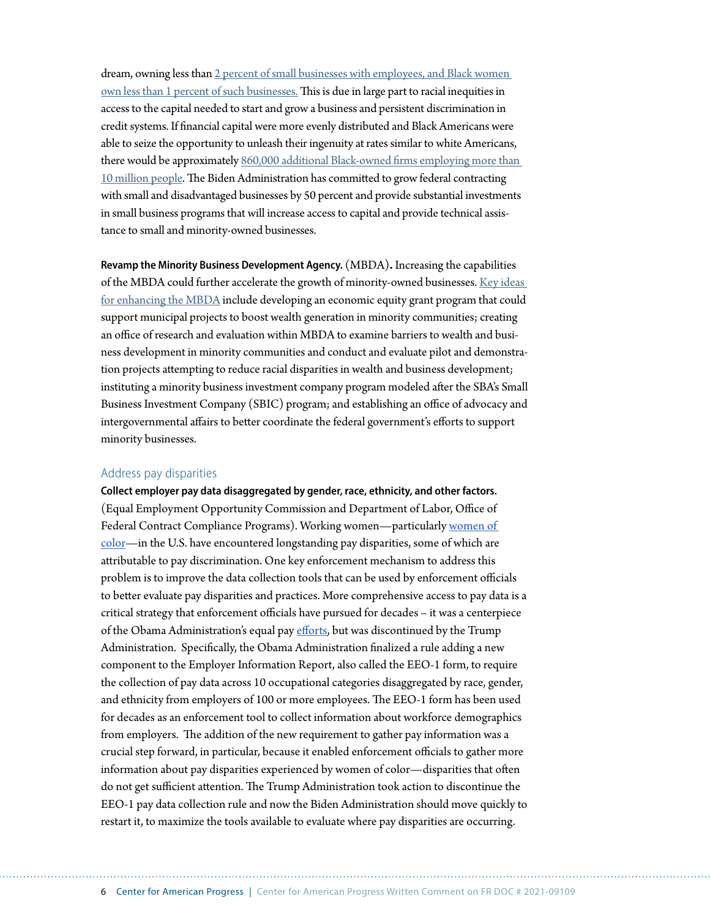dream, owning less than [2 percent of small businesses with employees, and Black women](https://www.americanprogress.org/issues/race/reports/2018/02/21/447051/systematic-inequality/)  [own less than 1 percent of such businesses.](https://www.americanprogress.org/issues/race/reports/2018/02/21/447051/systematic-inequality/) This is due in large part to racial inequities in access to the capital needed to start and grow a business and persistent discrimination in credit systems. If financial capital were more evenly distributed and Black Americans were able to seize the opportunity to unleash their ingenuity at rates similar to white Americans, there would be approximately [860,000 additional Black-owned firms employing more than](https://www.americanprogress.org/issues/race/reports/2018/02/21/447051/systematic-inequality/)  [10 million people](https://www.americanprogress.org/issues/race/reports/2018/02/21/447051/systematic-inequality/). The Biden Administration has committed to grow federal contracting with small and disadvantaged businesses by 50 percent and provide substantial investments in small business programs that will increase access to capital and provide technical assistance to small and minority-owned businesses.

**Revamp the Minority Business Development Agency.** (MBDA)**.** Increasing the capabilities of the MBDA could further accelerate the growth of minority-owned businesses. [Key ideas](https://www.americanprogress.org/issues/race/reports/2020/07/31/488423/blueprint-revamping-minority-business-development-agency/)  [for enhancing the MBDA](https://www.americanprogress.org/issues/race/reports/2020/07/31/488423/blueprint-revamping-minority-business-development-agency/) include developing an economic equity grant program that could support municipal projects to boost wealth generation in minority communities; creating an office of research and evaluation within MBDA to examine barriers to wealth and business development in minority communities and conduct and evaluate pilot and demonstration projects attempting to reduce racial disparities in wealth and business development; instituting a minority business investment company program modeled after the SBA's Small Business Investment Company (SBIC) program; and establishing an office of advocacy and intergovernmental affairs to better coordinate the federal government's efforts to support minority businesses.

#### Address pay disparities

**Collect employer pay data disaggregated by gender, race, ethnicity, and other factors.** (Equal Employment Opportunity Commission and Department of Labor, Office of Federal Contract Compliance Programs). Working women—particularly [women of](https://www.americanprogress.org/issues/women/reports/2020/03/24/482141/quick-facts-gender-wage-gap/)  [color](https://www.americanprogress.org/issues/women/reports/2020/03/24/482141/quick-facts-gender-wage-gap/)—in the U.S. have encountered longstanding pay disparities, some of which are attributable to pay discrimination. One key enforcement mechanism to address this problem is to improve the data collection tools that can be used by enforcement officials to better evaluate pay disparities and practices. More comprehensive access to pay data is a critical strategy that enforcement officials have pursued for decades – it was a centerpiece of the Obama Administration's equal pay [efforts](https://www.americanprogress.org/issues/women/reports/2020/03/02/480920/pay-data-matter-fight-equal-pay/), but was discontinued by the Trump Administration. Specifically, the Obama Administration finalized a rule adding a new component to the Employer Information Report, also called the EEO-1 form, to require the collection of pay data across 10 occupational categories disaggregated by race, gender, and ethnicity from employers of 100 or more employees. The EEO-1 form has been used for decades as an enforcement tool to collect information about workforce demographics from employers. The addition of the new requirement to gather pay information was a crucial step forward, in particular, because it enabled enforcement officials to gather more information about pay disparities experienced by women of color—disparities that often do not get sufficient attention. The Trump Administration took action to discontinue the EEO-1 pay data collection rule and now the Biden Administration should move quickly to restart it, to maximize the tools available to evaluate where pay disparities are occurring.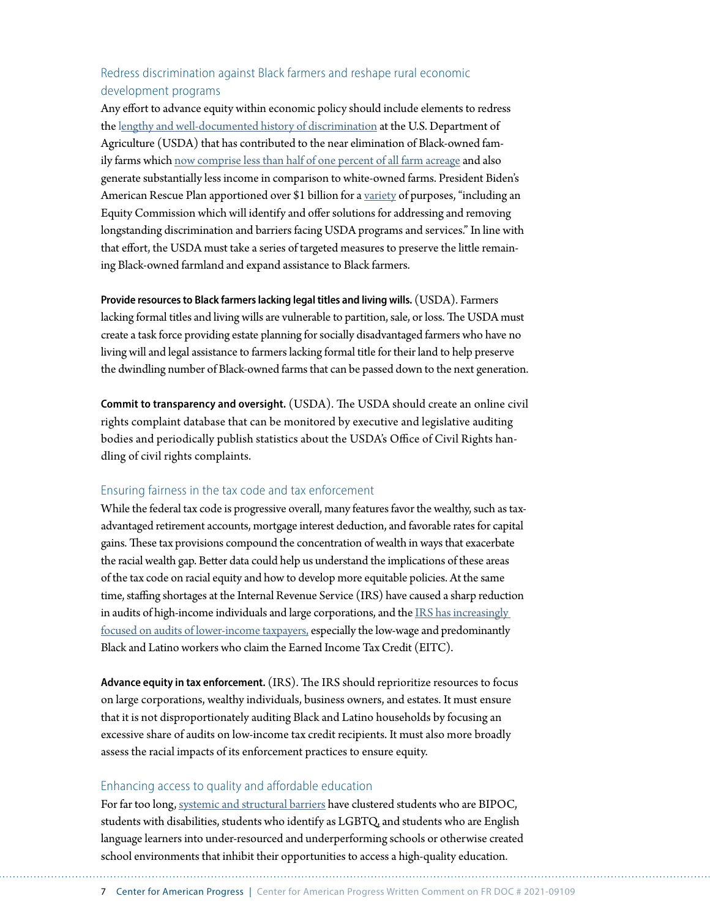# Redress discrimination against Black farmers and reshape rural economic development programs

Any effort to advance equity within economic policy should include elements to redress the l[engthy and well-documented history of discrimination](https://www.americanprogress.org/issues/economy/reports/2019/04/03/467892/progressive-governance-can-turn-tide-black-farmers/) at the U.S. Department of Agriculture (USDA) that has contributed to the near elimination of Black-owned family farms which [now comprise less than half of one percent of all farm acreage](https://www.americanprogress.org/issues/economy/reports/2019/04/03/467892/progressive-governance-can-turn-tide-black-farmers/) and also generate substantially less income in comparison to white-owned farms. President Biden's American Rescue Plan apportioned over \$1 billion for a [variety](https://www.usda.gov/media/press-releases/2021/04/29/usda-100-days-update) of purposes, "including an Equity Commission which will identify and offer solutions for addressing and removing longstanding discrimination and barriers facing USDA programs and services." In line with that effort, the USDA must take a series of targeted measures to preserve the little remaining Black-owned farmland and expand assistance to Black farmers.

**Provide resources to Black farmers lacking legal titles and living wills.** (USDA). Farmers lacking formal titles and living wills are vulnerable to partition, sale, or loss. The USDA must create a task force providing estate planning for socially disadvantaged farmers who have no living will and legal assistance to farmers lacking formal title for their land to help preserve the dwindling number of Black-owned farms that can be passed down to the next generation.

**Commit to transparency and oversight.** (USDA). The USDA should create an online civil rights complaint database that can be monitored by executive and legislative auditing bodies and periodically publish statistics about the USDA's Office of Civil Rights handling of civil rights complaints.

## Ensuring fairness in the tax code and tax enforcement

While the federal tax code is progressive overall, many features favor the wealthy, such as taxadvantaged retirement accounts, mortgage interest deduction, and favorable rates for capital gains. These tax provisions compound the concentration of wealth in ways that exacerbate the racial wealth gap. Better data could help us understand the implications of these areas of the tax code on racial equity and how to develop more equitable policies. At the same time, staffing shortages at the Internal Revenue Service (IRS) have caused a sharp reduction in audits of high-income individuals and large corporations, and the [IRS has increasingly](https://www.americanprogress.org/issues/economy/news/2021/06/10/500392/bidens-tax-enforcement-overhaul-positive-step-toward-racial-equity/)  [focused on audits of lower-income taxpayers,](https://www.americanprogress.org/issues/economy/news/2021/06/10/500392/bidens-tax-enforcement-overhaul-positive-step-toward-racial-equity/) especially the low-wage and predominantly Black and Latino workers who claim the Earned Income Tax Credit (EITC).

**Advance equity in tax enforcement.** (IRS). The IRS should reprioritize resources to focus on large corporations, wealthy individuals, business owners, and estates. It must ensure that it is not disproportionately auditing Black and Latino households by focusing an excessive share of audits on low-income tax credit recipients. It must also more broadly assess the racial impacts of its enforcement practices to ensure equity.

#### Enhancing access to quality and affordable education

For far too long, [systemic and structural barriers](https://www.americanprogress.org/issues/education-k-12/reports/2019/07/02/471511/quality-education-every-child/) have clustered students who are BIPOC, students with disabilities, students who identify as LGBTQ, and students who are English language learners into under-resourced and underperforming schools or otherwise created school environments that inhibit their opportunities to access a high-quality education.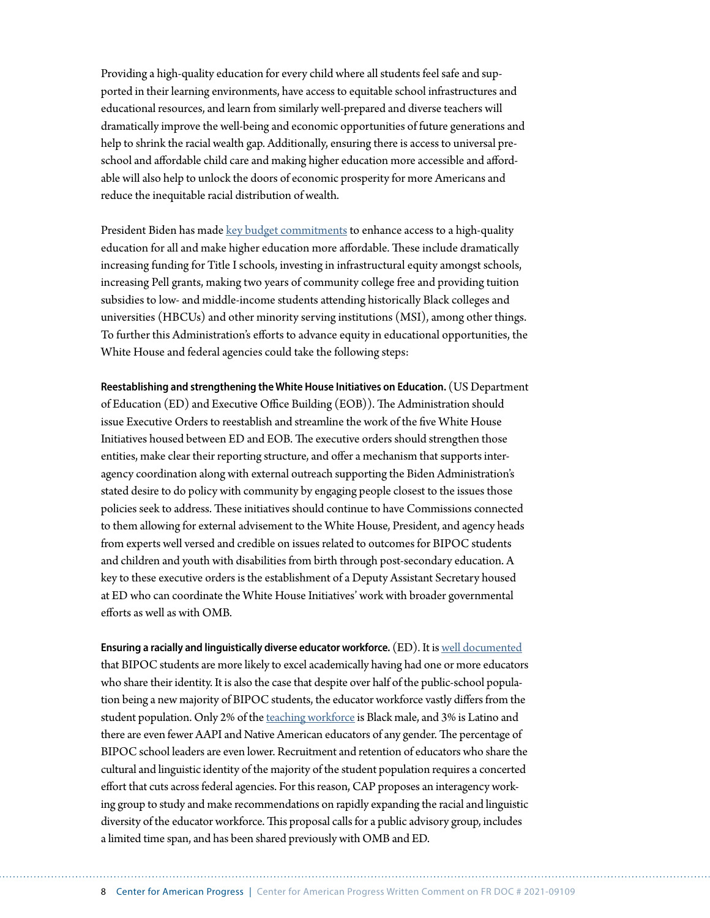Providing a high-quality education for every child where all students feel safe and supported in their learning environments, have access to equitable school infrastructures and educational resources, and learn from similarly well-prepared and diverse teachers will dramatically improve the well-being and economic opportunities of future generations and help to shrink the racial wealth gap. Additionally, ensuring there is access to universal preschool and affordable child care and making higher education more accessible and affordable will also help to unlock the doors of economic prosperity for more Americans and reduce the inequitable racial distribution of wealth.

President Biden has made [key budget commitments](https://www.whitehouse.gov/wp-content/uploads/2021/06/FY22-Budget-Equity-Fact-Sheet.pdf) to enhance access to a high-quality education for all and make higher education more affordable. These include dramatically increasing funding for Title I schools, investing in infrastructural equity amongst schools, increasing Pell grants, making two years of community college free and providing tuition subsidies to low- and middle-income students attending historically Black colleges and universities (HBCUs) and other minority serving institutions (MSI), among other things. To further this Administration's efforts to advance equity in educational opportunities, the White House and federal agencies could take the following steps:

**Reestablishing and strengthening the White House Initiatives on Education.** (US Department of Education (ED) and Executive Office Building (EOB)). The Administration should issue Executive Orders to reestablish and streamline the work of the five White House Initiatives housed between ED and EOB. The executive orders should strengthen those entities, make clear their reporting structure, and offer a mechanism that supports interagency coordination along with external outreach supporting the Biden Administration's stated desire to do policy with community by engaging people closest to the issues those policies seek to address. These initiatives should continue to have Commissions connected to them allowing for external advisement to the White House, President, and agency heads from experts well versed and credible on issues related to outcomes for BIPOC students and children and youth with disabilities from birth through post-secondary education. A key to these executive orders is the establishment of a Deputy Assistant Secretary housed at ED who can coordinate the White House Initiatives' work with broader governmental efforts as well as with OMB.

**Ensuring a racially and linguistically diverse educator workforce.** (ED). It is [well documented](https://www.nber.org/system/files/working_papers/w25254/w25254.pdf) that BIPOC students are more likely to excel academically having had one or more educators who share their identity. It is also the case that despite over half of the public-school population being a new majority of BIPOC students, the educator workforce vastly differs from the student population. Only 2% of the [teaching workforce](https://www.washingtonpost.com/news/answer-sheet/wp/2015/04/28/black-male-teachers-there-arent-enough-of-them/) is Black male, and 3% is Latino and there are even fewer AAPI and Native American educators of any gender. The percentage of BIPOC school leaders are even lower. Recruitment and retention of educators who share the cultural and linguistic identity of the majority of the student population requires a concerted effort that cuts across federal agencies. For this reason, CAP proposes an interagency working group to study and make recommendations on rapidly expanding the racial and linguistic diversity of the educator workforce. This proposal calls for a public advisory group, includes a limited time span, and has been shared previously with OMB and ED.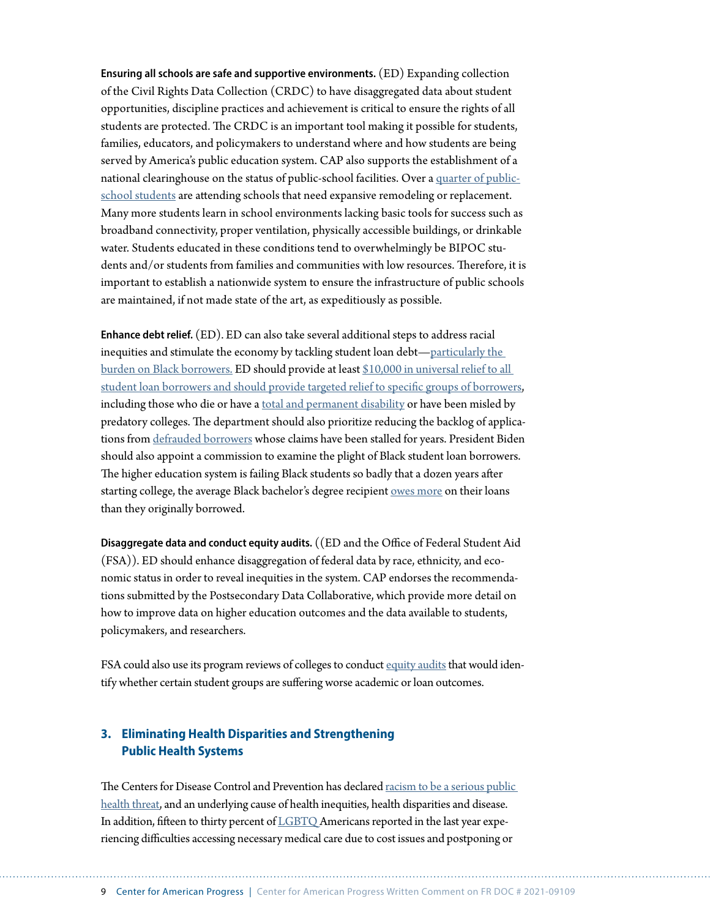**Ensuring all schools are safe and supportive environments.** (ED) Expanding collection of the Civil Rights Data Collection (CRDC) to have disaggregated data about student opportunities, discipline practices and achievement is critical to ensure the rights of all students are protected. The CRDC is an important tool making it possible for students, families, educators, and policymakers to understand where and how students are being served by America's public education system. CAP also supports the establishment of a national clearinghouse on the status of public-school facilities. Over a [quarter of public](https://www.gao.gov/products/gao-20-494)[school students](https://www.gao.gov/products/gao-20-494) are attending schools that need expansive remodeling or replacement. Many more students learn in school environments lacking basic tools for success such as broadband connectivity, proper ventilation, physically accessible buildings, or drinkable water. Students educated in these conditions tend to overwhelmingly be BIPOC students and/or students from families and communities with low resources. Therefore, it is important to establish a nationwide system to ensure the infrastructure of public schools are maintained, if not made state of the art, as expeditiously as possible.

**Enhance debt relief.** (ED). ED can also take several additional steps to address racial inequities and stimulate the economy by tackling student loan debt[—particularly the](https://www.americanprogress.org/issues/education-postsecondary/reports/2019/12/02/477929/continued-student-loan-crisis-black-borrowers/)  [burden on Black borrowers.](https://www.americanprogress.org/issues/education-postsecondary/reports/2019/12/02/477929/continued-student-loan-crisis-black-borrowers/) ED should provide at least [\\$10,000 in universal relief to all](https://www.americanprogress.org/issues/education-postsecondary/news/2021/02/03/495334/biden-administration-can-now-make-college-affordable-accountable-racially-just/)  [student loan borrowers and should provide targeted relief to specific groups of borrowers,](https://www.americanprogress.org/issues/education-postsecondary/news/2021/02/03/495334/biden-administration-can-now-make-college-affordable-accountable-racially-just/) including those who die or have a [total and permanent disability](https://www.npr.org/2020/03/03/811170628/letters-urge-betsy-devos-to-erase-student-loans-for-borrowers-with-disabilities) or have been misled by predatory colleges. The department should also prioritize reducing the backlog of applications from [defrauded borrowers](https://www.washingtonpost.com/education/2020/10/20/student-debt-claims-settlement-denied/) whose claims have been stalled for years. President Biden should also appoint a commission to examine the plight of Black student loan borrowers. The higher education system is failing Black students so badly that a dozen years after starting college, the average Black bachelor's degree recipient [owes more](https://www.americanprogress.org/issues/education-postsecondary/news/2017/10/16/440711/new-federal-data-show-student-loan-crisis-african-american-borrowers/) on their loans than they originally borrowed.

**Disaggregate data and conduct equity audits.** ((ED and the Office of Federal Student Aid (FSA)). ED should enhance disaggregation of federal data by race, ethnicity, and economic status in order to reveal inequities in the system. CAP endorses the recommendations submitted by the Postsecondary Data Collaborative, which provide more detail on how to improve data on higher education outcomes and the data available to students, policymakers, and researchers.

FSA could also use its program reviews of colleges to conduct [equity audits](https://www.americanprogress.org/issues/education-postsecondary/news/2019/04/03/465193/equity-audits-tool-campus-improvement/) that would identify whether certain student groups are suffering worse academic or loan outcomes.

# **3. Eliminating Health Disparities and Strengthening Public Health Systems**

The Centers for Disease Control and Prevention has declared [racism to be a serious public](https://www.cdc.gov/healthequity/racism-disparities/index.html)  [health threat,](https://www.cdc.gov/healthequity/racism-disparities/index.html) and an underlying cause of health inequities, health disparities and disease. In addition, fifteen to thirty percent of [LGBTQ](https://www.americanprogress.org/issues/lgbtq-rights/reports/2020/10/06/491052/state-lgbtq-community-2020/) Americans reported in the last year experiencing difficulties accessing necessary medical care due to cost issues and postponing or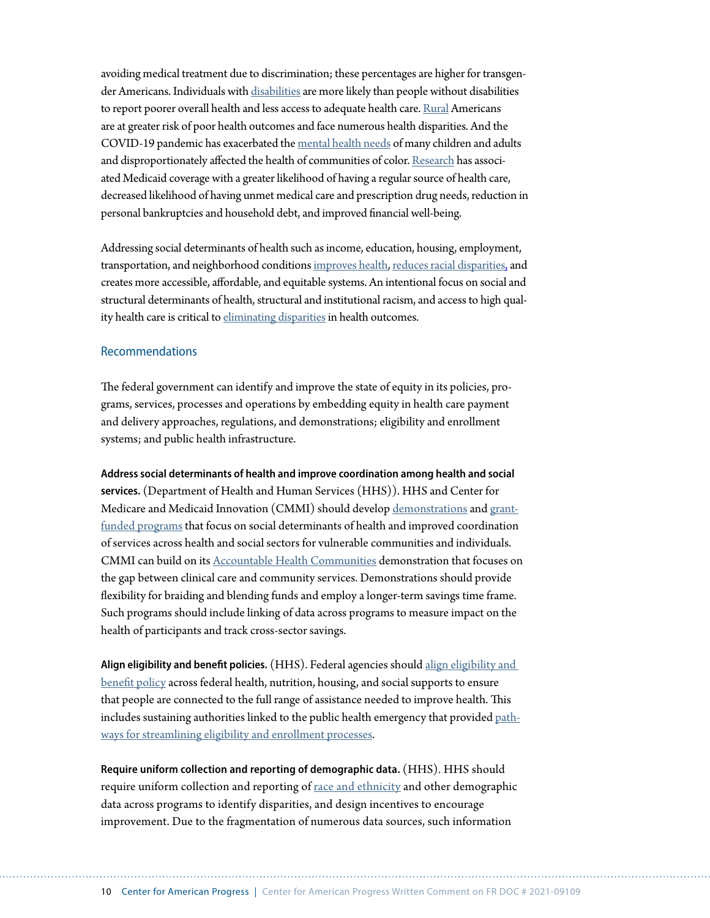avoiding medical treatment due to discrimination; these percentages are higher for transgender Americans. Individuals with [disabilities](https://www.cdc.gov/ncbddd/disabilityandhealth/relatedconditions.html) are more likely than people without disabilities to report poorer overall health and less access to adequate health care. [Rural](https://www.cdc.gov/ruralhealth/about.html) Americans are at greater risk of poor health outcomes and face numerous health disparities. And the COVID-19 pandemic has exacerbated the [mental health needs](https://www.kff.org/coronavirus-covid-19/issue-brief/the-implications-of-covid-19-for-mental-health-and-substance-use/) of many children and adults and disproportionately affected the health of communities of color. [Research](https://www.macpac.gov/subtopic/changes-in-coverage-and-access/) has associated Medicaid coverage with a greater likelihood of having a regular source of health care, decreased likelihood of having unmet medical care and prescription drug needs, reduction in personal bankruptcies and household debt, and improved financial well-being.

Addressing social determinants of health such as income, education, housing, employment, transportation, and neighborhood conditions [improves health,](https://health.gov/healthypeople/objectives-and-data/social-determinants-health) [reduces racial disparities,](https://www.ncbi.nlm.nih.gov/pmc/articles/PMC6406315/) and creates more accessible, affordable, and equitable systems. An intentional focus on social and structural determinants of health, structural and institutional racism, and access to high quality health care is critical to [eliminating disparities](https://www.ncbi.nlm.nih.gov/pmc/articles/PMC6406315/) in health outcomes.

## Recommendations

The federal government can identify and improve the state of equity in its policies, programs, services, processes and operations by embedding equity in health care payment and delivery approaches, regulations, and demonstrations; eligibility and enrollment systems; and public health infrastructure.

**Address social determinants of health and improve coordination among health and social services.** (Department of Health and Human Services (HHS)). HHS and Center for Medicare and Medicaid Innovation (CMMI) should develop [demonstrations](https://www.nasi.org/wp-content/uploads/2017/01/Strengthening_Medicaid_as_a_Critical_Lever_Low_Res.pdf) and [grant](https://aligningforhealth.org/social-determinants-accelerator-act/)[funded programs](https://aligningforhealth.org/social-determinants-accelerator-act/) that focus on social determinants of health and improved coordination of services across health and social sectors for vulnerable communities and individuals. CMMI can build on its [Accountable Health Communities](https://innovation.cms.gov/innovation-models/ahcm) demonstration that focuses on the gap between clinical care and community services. Demonstrations should provide flexibility for braiding and blending funds and employ a longer-term savings time frame. Such programs should include linking of data across programs to measure impact on the health of participants and track cross-sector savings.

**Align eligibility and benefit policies.** (HHS). Federal agencies should [align eligibility and](https://www.nasi.org/wp-content/uploads/2017/01/Strengthening_Medicaid_as_a_Critical_Lever_Low_Res.pdf)  [benefit policy](https://www.nasi.org/wp-content/uploads/2017/01/Strengthening_Medicaid_as_a_Critical_Lever_Low_Res.pdf) across federal health, nutrition, housing, and social supports to ensure that people are connected to the full range of assistance needed to improve health. This includes sustaining authorities linked to the public health emergency that provided [path](https://www.cbpp.org/research/health/streamlining-medicaid-enrollment-during-covid-19-public-health-emergency)[ways for streamlining eligibility and enrollment processes](https://www.cbpp.org/research/health/streamlining-medicaid-enrollment-during-covid-19-public-health-emergency).

**Require uniform collection and reporting of demographic data.** (HHS). HHS should require uniform collection and reporting of [race and ethnicity](https://www.ncbi.nlm.nih.gov/books/NBK222062/) and other demographic data across programs to identify disparities, and design incentives to encourage improvement. Due to the fragmentation of numerous data sources, such information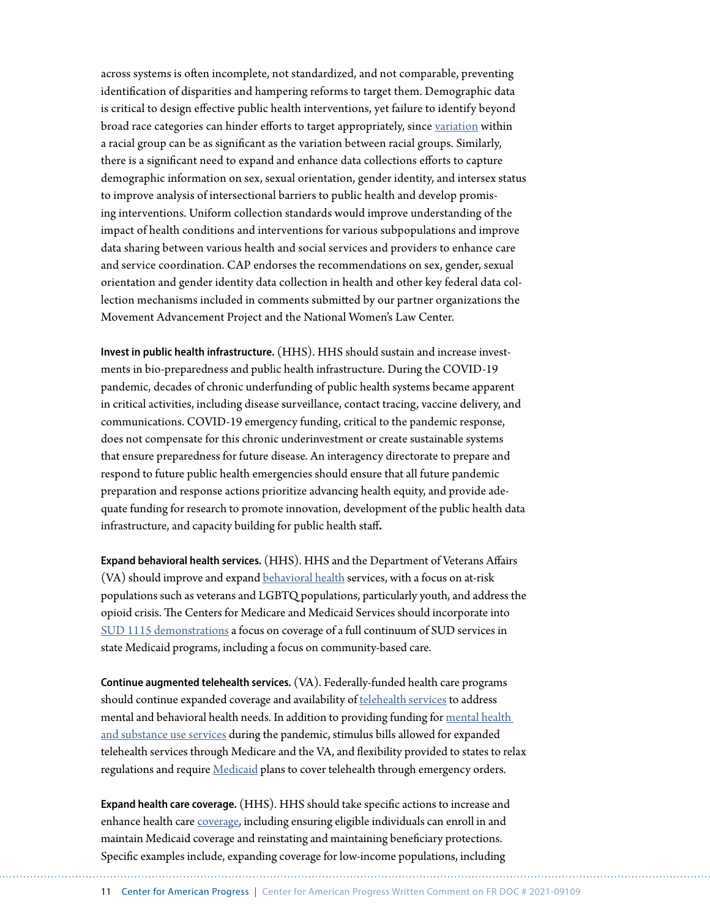across systems is often incomplete, not standardized, and not comparable, preventing identification of disparities and hampering reforms to target them. Demographic data is critical to design effective public health interventions, yet failure to identify beyond broad race categories can hinder efforts to target appropriately, since [variation](https://www.ncbi.nlm.nih.gov/books/NBK222062/) within a racial group can be as significant as the variation between racial groups. Similarly, there is a significant need to expand and enhance data collections efforts to capture demographic information on sex, sexual orientation, gender identity, and intersex status to improve analysis of intersectional barriers to public health and develop promising interventions. Uniform collection standards would improve understanding of the impact of health conditions and interventions for various subpopulations and improve data sharing between various health and social services and providers to enhance care and service coordination. CAP endorses the recommendations on sex, gender, sexual orientation and gender identity data collection in health and other key federal data collection mechanisms included in comments submitted by our partner organizations the Movement Advancement Project and the National Women's Law Center.

**Invest in public health infrastructure.** (HHS). HHS should sustain and increase investments in bio-preparedness and public health infrastructure. During the COVID-19 pandemic, decades of chronic underfunding of public health systems became apparent in critical activities, including disease surveillance, contact tracing, vaccine delivery, and communications. COVID-19 emergency funding, critical to the pandemic response, does not compensate for this chronic underinvestment or create sustainable systems that ensure preparedness for future disease. An interagency directorate to prepare and respond to future public health emergencies should ensure that all future pandemic preparation and response actions prioritize advancing health equity, and provide adequate funding for research to promote innovation, development of the public health data infrastructure, and capacity building for public health staff**.**

**Expand behavioral health services.** (HHS). HHS and the Department of Veterans Affairs (VA) should improve and expand [behavioral health](https://www.kff.org/report-section/potential-health-policy-administrative-actions-under-president-biden-issue-brief/) services, with a focus on at-risk populations such as veterans and LGBTQ populations, particularly youth, and address the opioid crisis. The Centers for Medicare and Medicaid Services should incorporate into [SUD 1115 demonstrations](https://www.cbpp.org/research/health/medicaid-is-key-to-building-a-system-of-comprehensive-substance-use-care-for-low) a focus on coverage of a full continuum of SUD services in state Medicaid programs, including a focus on community-based care.

**Continue augmented telehealth services.** (VA). Federally-funded health care programs should continue expanded coverage and availability of [telehealth services](https://www.commonwealthfund.org/blog/2020/how-states-can-meet-mental-health-needs-during-pandemic-and-beyond) to address mental and behavioral health needs. In addition to providing funding for [mental health](https://www.kff.org/coronavirus-covid-19/issue-brief/the-implications-of-covid-19-for-mental-health-and-substance-use/)  [and substance use services](https://www.kff.org/coronavirus-covid-19/issue-brief/the-implications-of-covid-19-for-mental-health-and-substance-use/) during the pandemic, stimulus bills allowed for expanded telehealth services through Medicare and the VA, and flexibility provided to states to relax regulations and require [Medicaid](https://www.nashp.org/wp-content/uploads/2020/12/PCORI-report-12-4-2020.pdf) plans to cover telehealth through emergency orders.

**Expand health care coverage.** (HHS). HHS should take specific actions to increase and enhance health care [coverage,](https://www.kff.org/report-section/potential-health-policy-administrative-actions-under-president-biden-issue-brief/) including ensuring eligible individuals can enroll in and maintain Medicaid coverage and reinstating and maintaining beneficiary protections. Specific examples include, expanding coverage for low-income populations, including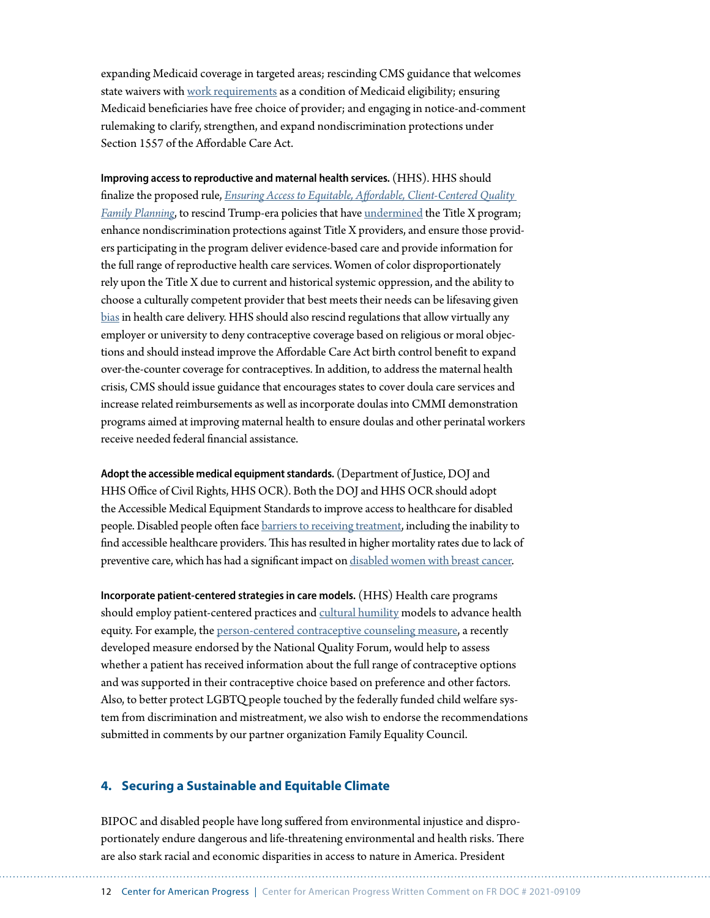expanding Medicaid coverage in targeted areas; rescinding CMS guidance that welcomes state waivers with [work requirements](https://www.kff.org/coronavirus-covid-19/issue-brief/work-among-medicaid-adults-implications-of-economic-downturn-and-work-requirements/) as a condition of Medicaid eligibility; ensuring Medicaid beneficiaries have free choice of provider; and engaging in notice-and-comment rulemaking to clarify, strengthen, and expand nondiscrimination protections under Section 1557 of the Affordable Care Act.

**Improving access to reproductive and maternal health services.** (HHS). HHS should finalize the proposed rule, *[Ensuring Access to Equitable, Affordable, Client-Centered Quality](https://www.hhs.gov/about/news/2021/04/14/fact-sheet-notice-of-proposed-rulemaking-ensuring-access-to-equitable-affordable-client-centered.html)  [Family Planning](https://www.hhs.gov/about/news/2021/04/14/fact-sheet-notice-of-proposed-rulemaking-ensuring-access-to-equitable-affordable-client-centered.html)*, to rescind Trump-era policies that have [undermined](https://www.guttmacher.org/article/2020/02/trump-administrations-domestic-gag-rule-has-slashed-title-x-networks-capacity-half) the Title X program; enhance nondiscrimination protections against Title X providers, and ensure those providers participating in the program deliver evidence-based care and provide information for the full range of reproductive health care services. Women of color disproportionately rely upon the Title X due to current and historical systemic oppression, and the ability to choose a culturally competent provider that best meets their needs can be lifesaving given [bias](https://www.ncbi.nlm.nih.gov/pmc/articles/PMC4843483/) in health care delivery. HHS should also rescind regulations that allow virtually any employer or university to deny contraceptive coverage based on religious or moral objections and should instead improve the Affordable Care Act birth control benefit to expand over-the-counter coverage for contraceptives. In addition, to address the maternal health crisis, CMS should issue guidance that encourages states to cover doula care services and increase related reimbursements as well as incorporate doulas into CMMI demonstration programs aimed at improving maternal health to ensure doulas and other perinatal workers receive needed federal financial assistance.

**Adopt the accessible medical equipment standards.** (Department of Justice, DOJ and HHS Office of Civil Rights, HHS OCR). Both the DOJ and HHS OCR should adopt the Accessible Medical Equipment Standards to improve access to healthcare for disabled people. Disabled people often face [barriers to receiving treatment](https://www.sciencedirect.com/science/article/abs/pii/S1936657414000879%22%20/), including the inability to find accessible healthcare providers. This has resulted in higher mortality rates due to lack of preventive care, which has had a significant impact on [disabled women with breast cancer](https://pubmed.ncbi.nlm.nih.gov/12407963/).

**Incorporate patient-centered strategies in care models.** (HHS) Health care programs should employ patient-centered practices and [cultural humility](https://www.apa.org/pi/families/resources/newsletter/2013/08/cultural-humility) models to advance health equity. For example, the person-centered contraceptive counseling measure, a recently developed measure endorsed by the National Quality Forum, would help to assess whether a patient has received information about the full range of contraceptive options and was supported in their contraceptive choice based on preference and other factors. Also, to better protect LGBTQ people touched by the federally funded child welfare system from discrimination and mistreatment, we also wish to endorse the recommendations submitted in comments by our partner organization Family Equality Council.

#### **4. Securing a Sustainable and Equitable Climate**

BIPOC and disabled people have long suffered from environmental injustice and disproportionately endure dangerous and life-threatening environmental and health risks. There are also stark racial and economic disparities in access to nature in America. President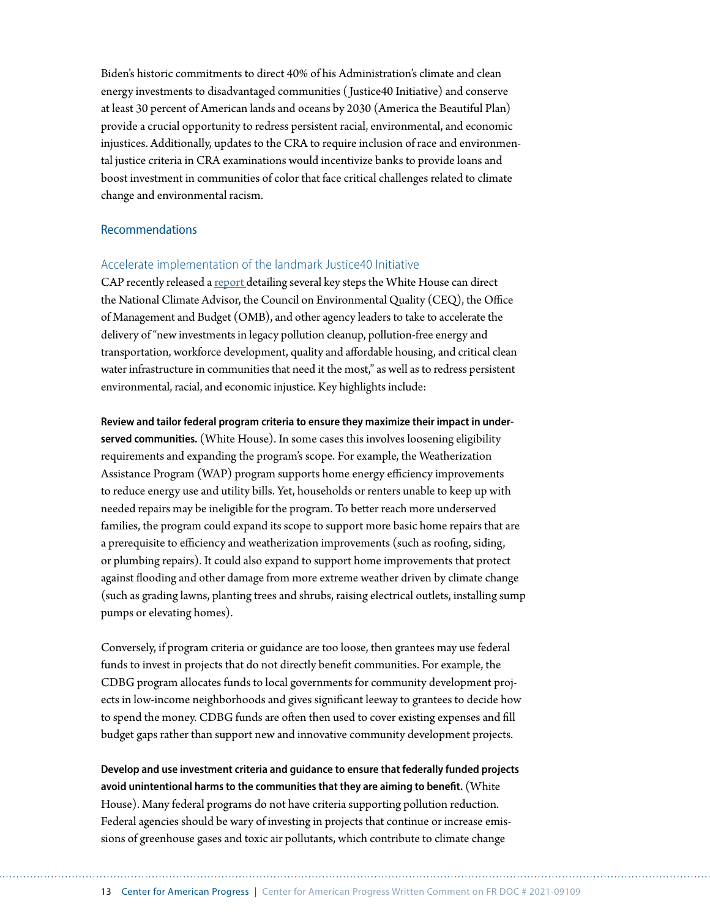Biden's historic commitments to direct 40% of his Administration's climate and clean energy investments to disadvantaged communities ( Justice40 Initiative) and conserve at least 30 percent of American lands and oceans by 2030 (America the Beautiful Plan) provide a crucial opportunity to redress persistent racial, environmental, and economic injustices. Additionally, updates to the CRA to require inclusion of race and environmental justice criteria in CRA examinations would incentivize banks to provide loans and boost investment in communities of color that face critical challenges related to climate change and environmental racism.

#### Recommendations

## Accelerate implementation of the landmark Justice40 Initiative

CAP recently released a [report](https://www.americanprogress.org/issues/green/reports/2021/06/22/500618/implementing-bidens-justice40-commitment-combat-environmental-racism/) detailing several key steps the White House can direct the National Climate Advisor, the Council on Environmental Quality (CEQ), the Office of Management and Budget (OMB), and other agency leaders to take to accelerate the delivery of "new investments in legacy pollution cleanup, pollution-free energy and transportation, workforce development, quality and affordable housing, and critical clean water infrastructure in communities that need it the most," as well as to redress persistent environmental, racial, and economic injustice. Key highlights include:

#### **Review and tailor federal program criteria to ensure they maximize their impact in under-**

**served communities.** (White House). In some cases this involves loosening eligibility requirements and expanding the program's scope. For example, the Weatherization Assistance Program (WAP) program supports home energy efficiency improvements to reduce energy use and utility bills. Yet, households or renters unable to keep up with needed repairs may be ineligible for the program. To better reach more underserved families, the program could expand its scope to support more basic home repairs that are a prerequisite to efficiency and weatherization improvements (such as roofing, siding, or plumbing repairs). It could also expand to support home improvements that protect against flooding and other damage from more extreme weather driven by climate change (such as grading lawns, planting trees and shrubs, raising electrical outlets, installing sump pumps or elevating homes).

Conversely, if program criteria or guidance are too loose, then grantees may use federal funds to invest in projects that do not directly benefit communities. For example, the CDBG program allocates funds to local governments for community development projects in low-income neighborhoods and gives significant leeway to grantees to decide how to spend the money. CDBG funds are often then used to cover existing expenses and fill budget gaps rather than support new and innovative community development projects.

**Develop and use investment criteria and guidance to ensure that federally funded projects avoid unintentional harms to the communities that they are aiming to benefit.** (White House). Many federal programs do not have criteria supporting pollution reduction. Federal agencies should be wary of investing in projects that continue or increase emissions of greenhouse gases and toxic air pollutants, which contribute to climate change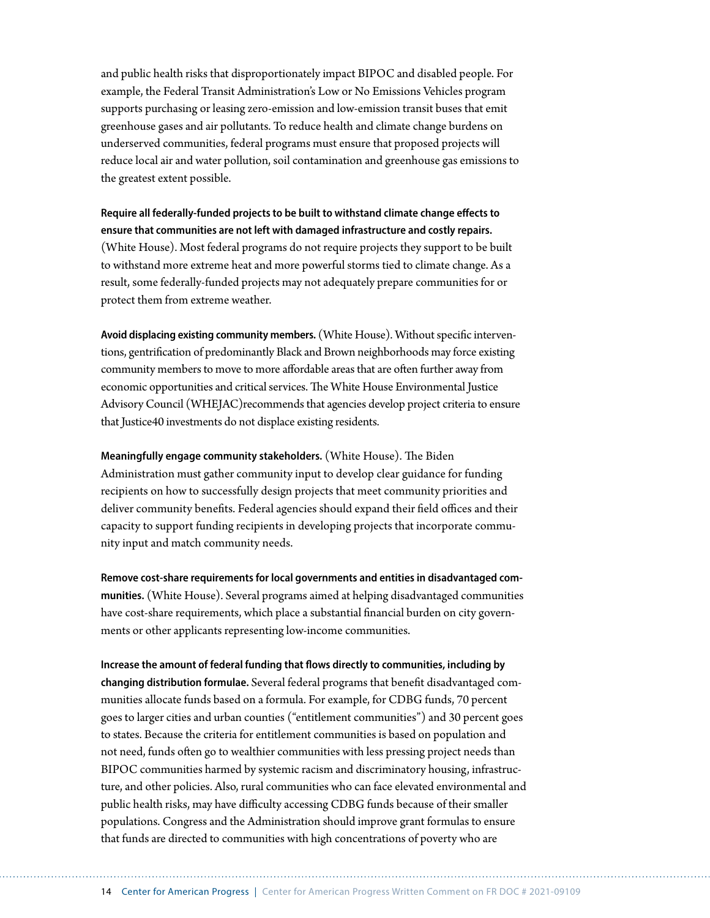and public health risks that disproportionately impact BIPOC and disabled people. For example, the Federal Transit Administration's Low or No Emissions Vehicles program supports purchasing or leasing zero-emission and low-emission transit buses that emit greenhouse gases and air pollutants. To reduce health and climate change burdens on underserved communities, federal programs must ensure that proposed projects will reduce local air and water pollution, soil contamination and greenhouse gas emissions to the greatest extent possible.

**Require all federally-funded projects to be built to withstand climate change effects to ensure that communities are not left with damaged infrastructure and costly repairs.** (White House). Most federal programs do not require projects they support to be built to withstand more extreme heat and more powerful storms tied to climate change. As a result, some federally-funded projects may not adequately prepare communities for or protect them from extreme weather.

**Avoid displacing existing community members.** (White House). Without specific interventions, gentrification of predominantly Black and Brown neighborhoods may force existing community members to move to more affordable areas that are often further away from economic opportunities and critical services. The White House Environmental Justice Advisory Council (WHEJAC)recommends that agencies develop project criteria to ensure that Justice40 investments do not displace existing residents.

**Meaningfully engage community stakeholders.** (White House). The Biden Administration must gather community input to develop clear guidance for funding recipients on how to successfully design projects that meet community priorities and deliver community benefits. Federal agencies should expand their field offices and their capacity to support funding recipients in developing projects that incorporate community input and match community needs.

**Remove cost-share requirements for local governments and entities in disadvantaged communities.** (White House). Several programs aimed at helping disadvantaged communities have cost-share requirements, which place a substantial financial burden on city governments or other applicants representing low-income communities.

**Increase the amount of federal funding that flows directly to communities, including by changing distribution formulae.** Several federal programs that benefit disadvantaged communities allocate funds based on a formula. For example, for CDBG funds, 70 percent goes to larger cities and urban counties ("entitlement communities") and 30 percent goes to states. Because the criteria for entitlement communities is based on population and not need, funds often go to wealthier communities with less pressing project needs than BIPOC communities harmed by systemic racism and discriminatory housing, infrastructure, and other policies. Also, rural communities who can face elevated environmental and public health risks, may have difficulty accessing CDBG funds because of their smaller populations. Congress and the Administration should improve grant formulas to ensure that funds are directed to communities with high concentrations of poverty who are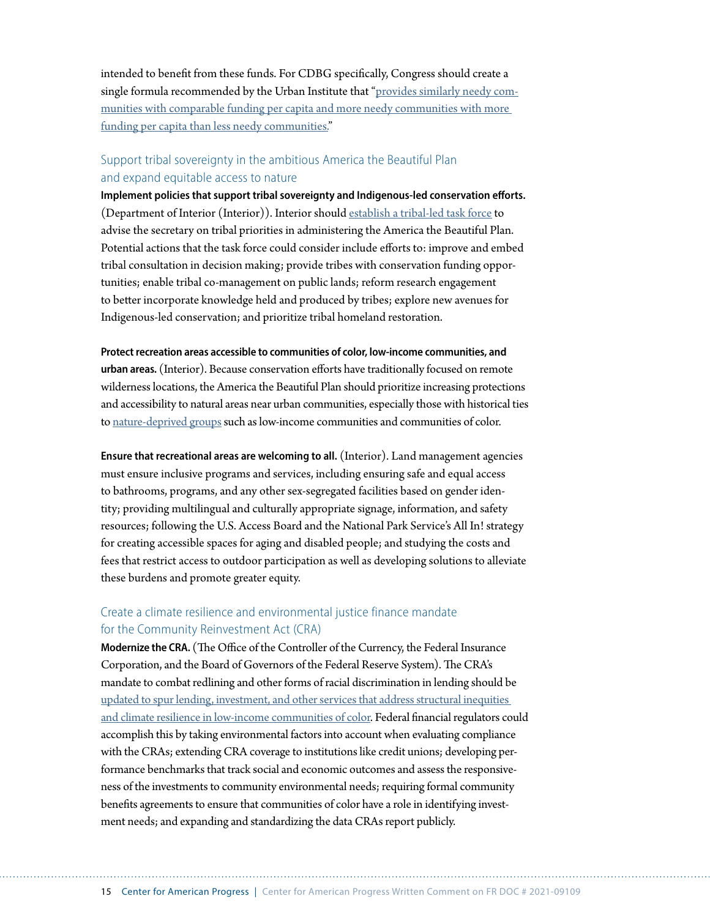intended to benefit from these funds. For CDBG specifically, Congress should create a single formula recommended by the Urban Institute that ["provides similarly needy com](https://www.urban.org/research/publication/taking-stock-community-development-block-grant)[munities with comparable funding per capita and more needy communities with more](https://www.urban.org/research/publication/taking-stock-community-development-block-grant)  [funding per capita than less needy communities."](https://www.urban.org/research/publication/taking-stock-community-development-block-grant)

# Support tribal sovereignty in the ambitious America the Beautiful Plan and expand equitable access to nature

**Implement policies that support tribal sovereignty and Indigenous-led conservation efforts.** (Department of Interior (Interior)). Interior should [establish a tribal-led task force](https://www.americanprogress.org/issues/green/reports/2021/01/26/495054/biden-administrations-conservation-plan-must-prioritize-indigenous-leadership/) to advise the secretary on tribal priorities in administering the America the Beautiful Plan. Potential actions that the task force could consider include efforts to: improve and embed tribal consultation in decision making; provide tribes with conservation funding opportunities; enable tribal co-management on public lands; reform research engagement to better incorporate knowledge held and produced by tribes; explore new avenues for Indigenous-led conservation; and prioritize tribal homeland restoration.

**Protect recreation areas accessible to communities of color, low-income communities, and urban areas.** (Interior). Because conservation efforts have traditionally focused on remote wilderness locations, the America the Beautiful Plan should prioritize increasing protections and accessibility to natural areas near urban communities, especially those with historical ties to [nature-deprived groups](https://www.americanprogress.org/issues/green/reports/2020/07/21/487787/the-nature-gap/) such as low-income communities and communities of color.

**Ensure that recreational areas are welcoming to all.** (Interior). Land management agencies must ensure inclusive programs and services, including ensuring safe and equal access to bathrooms, programs, and any other sex-segregated facilities based on gender identity; providing multilingual and culturally appropriate signage, information, and safety resources; following the U.S. Access Board and the National Park Service's All In! strategy for creating accessible spaces for aging and disabled people; and studying the costs and fees that restrict access to outdoor participation as well as developing solutions to alleviate these burdens and promote greater equity.

# Create a climate resilience and environmental justice finance mandate for the Community Reinvestment Act (CRA)

**Modernize the CRA.** (The Office of the Controller of the Currency, the Federal Insurance Corporation, and the Board of Governors of the Federal Reserve System). The CRA's mandate to combat redlining and other forms of racial discrimination in lending should be [updated to spur lending, investment, and other services that address structural inequities](https://www.americanprogress.org/issues/economy/reports/2020/12/17/493886/cra-meet-challenge-climate-change/)  [and climate resilience in low-income communities of color](https://www.americanprogress.org/issues/economy/reports/2020/12/17/493886/cra-meet-challenge-climate-change/). Federal financial regulators could accomplish this by taking environmental factors into account when evaluating compliance with the CRAs; extending CRA coverage to institutions like credit unions; developing performance benchmarks that track social and economic outcomes and assess the responsiveness of the investments to community environmental needs; requiring formal community benefits agreements to ensure that communities of color have a role in identifying investment needs; and expanding and standardizing the data CRAs report publicly.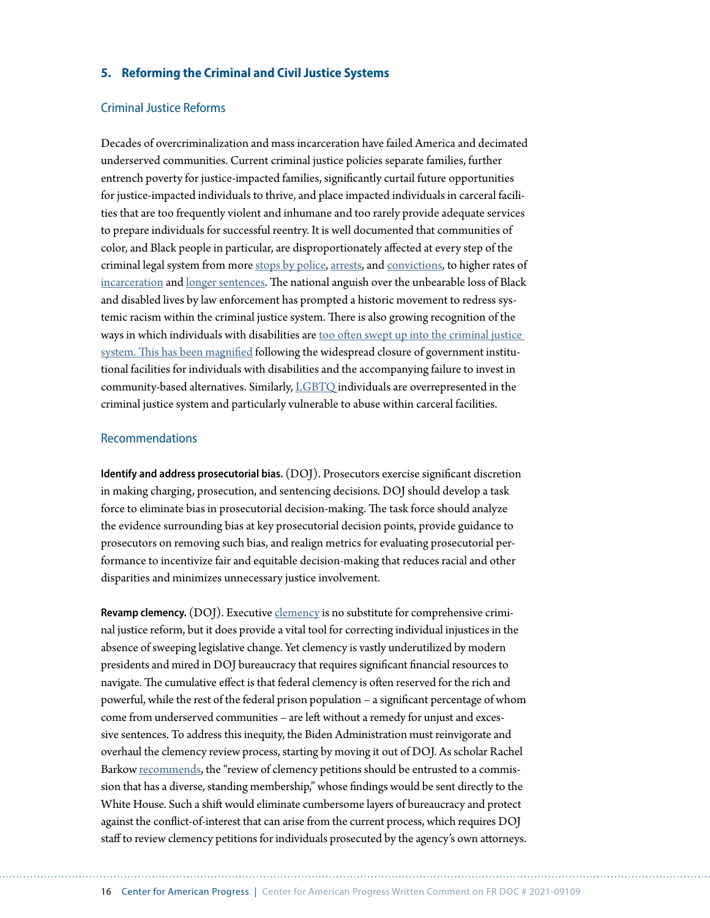#### **5. Reforming the Criminal and Civil Justice Systems**

## Criminal Justice Reforms

Decades of overcriminalization and mass incarceration have failed America and decimated underserved communities. Current criminal justice policies separate families, further entrench poverty for justice-impacted families, significantly curtail future opportunities for justice-impacted individuals to thrive, and place impacted individuals in carceral facilities that are too frequently violent and inhumane and too rarely provide adequate services to prepare individuals for successful reentry. It is well documented that communities of color, and Black people in particular, are disproportionately affected at every step of the criminal legal system from more [stops by police,](https://openpolicing.stanford.edu/findings/) [arrests](https://www.ojjdp.gov/ojstatbb/crime/ucr.asp?table_in=2), and [convictions](https://www.naacp.org/criminal-justice-fact-sheet/), to higher rates of [incarceration](https://www.prisonpolicy.org/graphs/raceinc.html) and [longer sentences](https://www.themarshallproject.org/2019/12/03/the-growing-racial-disparity-in-prison-time). The national anguish over the unbearable loss of Black and disabled lives by law enforcement has prompted a historic movement to redress systemic racism within the criminal justice system. There is also growing recognition of the ways in which individuals with disabilities are [too often swept up into the criminal justice](https://www.americanprogress.org/issues/criminal-justice/reports/2016/07/18/141447/disabled-behind-bars/)  [system](https://www.americanprogress.org/issues/criminal-justice/reports/2016/07/18/141447/disabled-behind-bars/). This has been magnified following the widespread closure of government institutional facilities for individuals with disabilities and the accompanying failure to invest in community-based alternatives. Similarly, [LGBTQ](https://www.prisonpolicy.org/blog/2021/03/02/lgbtq/) individuals are overrepresented in the criminal justice system and particularly vulnerable to abuse within carceral facilities.

#### Recommendations

**Identify and address prosecutorial bias.** (DOJ). Prosecutors exercise significant discretion in making charging, prosecution, and sentencing decisions. DOJ should develop a task force to eliminate bias in prosecutorial decision-making. The task force should analyze the evidence surrounding bias at key prosecutorial decision points, provide guidance to prosecutors on removing such bias, and realign metrics for evaluating prosecutorial performance to incentivize fair and equitable decision-making that reduces racial and other disparities and minimizes unnecessary justice involvement.

**Revamp clemency.** (DOJ). Executive *clemency* is no substitute for comprehensive criminal justice reform, but it does provide a vital tool for correcting individual injustices in the absence of sweeping legislative change. Yet clemency is vastly underutilized by modern presidents and mired in DOJ bureaucracy that requires significant financial resources to navigate. The cumulative effect is that federal clemency is often reserved for the rich and powerful, while the rest of the federal prison population – a significant percentage of whom come from underserved communities – are left without a remedy for unjust and excessive sentences. To address this inequity, the Biden Administration must reinvigorate and overhaul the clemency review process, starting by moving it out of DOJ. As scholar Rachel Barkow [recommends](https://lawreview.uchicago.edu/publication/restructuring-clemency-cost-ignoring-clemency-and-plan-renewal), the "review of clemency petitions should be entrusted to a commission that has a diverse, standing membership," whose findings would be sent directly to the White House. Such a shift would eliminate cumbersome layers of bureaucracy and protect against the conflict-of-interest that can arise from the current process, which requires DOJ staff to review clemency petitions for individuals prosecuted by the agency's own attorneys.

16 Center for American Progress | Center for American Progress Written Comment on FR DOC # 2021-09109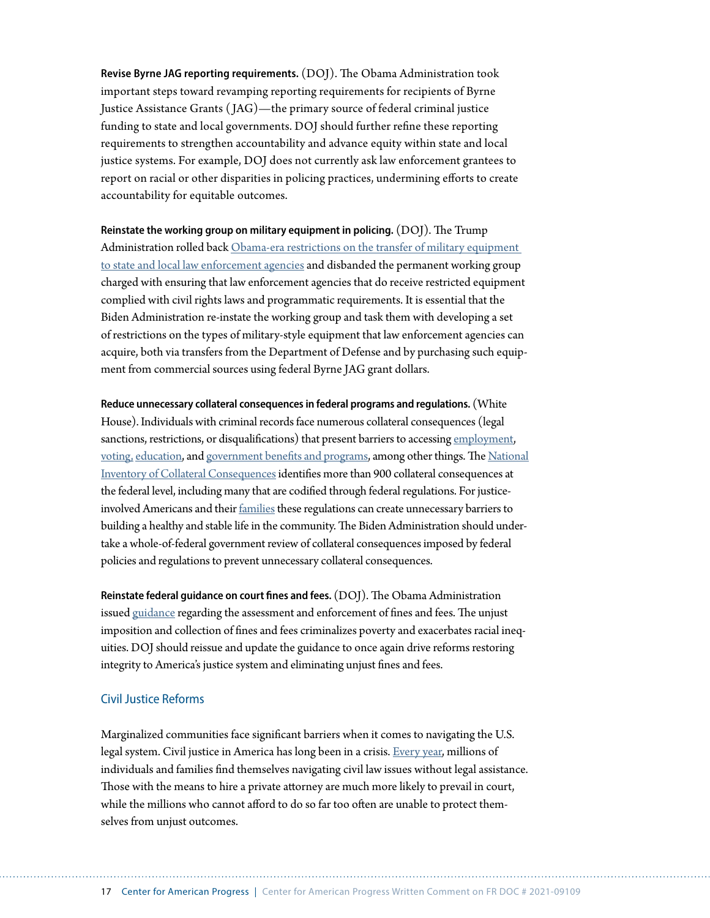**Revise Byrne JAG reporting requirements.** (DOJ). The Obama Administration took important steps toward revamping reporting requirements for recipients of Byrne Justice Assistance Grants ( JAG)—the primary source of federal criminal justice funding to state and local governments. DOJ should further refine these reporting requirements to strengthen accountability and advance equity within state and local justice systems. For example, DOJ does not currently ask law enforcement grantees to report on racial or other disparities in policing practices, undermining efforts to create accountability for equitable outcomes.

**Reinstate the working group on military equipment in policing.** (DOJ). The Trump Administration rolled back [Obama-era restrictions on the transfer of military equipment](https://www.americanprogress.org/issues/criminal-justice/news/2021/02/11/495598/3-radar-executive-actions-biden-administrations-criminal-justice-reform-agenda/)  [to state and local law enforcement agencies](https://www.americanprogress.org/issues/criminal-justice/news/2021/02/11/495598/3-radar-executive-actions-biden-administrations-criminal-justice-reform-agenda/) and disbanded the permanent working group charged with ensuring that law enforcement agencies that do receive restricted equipment complied with civil rights laws and programmatic requirements. It is essential that the Biden Administration re-instate the working group and task them with developing a set of restrictions on the types of military-style equipment that law enforcement agencies can acquire, both via transfers from the Department of Defense and by purchasing such equipment from commercial sources using federal Byrne JAG grant dollars.

**Reduce unnecessary collateral consequences in federal programs and regulations.** (White House).Individuals with criminal records face numerous collateral consequences (legal sanctions, restrictions, or disqualifications) that present barriers to accessing [employment,](https://www.americanprogress.org/issues/poverty/reports/2021/05/28/499712/criminal-record-shouldnt-life-sentence-poverty/) [voting,](https://www.americanprogress.org/issues/courts/news/2021/04/26/498720/clean-slate-critical-healthy-democracy/) [education,](https://www.americanprogress.org/issues/education-postsecondary/news/2021/04/19/497880/3-ways-biden-administration-can-give-second-chances-justice-impacted-college-students/) and [government benefits and programs](https://www.usccr.gov/pubs/2019/06-13-Collateral-Consequences.pdf), among other things. The [National](https://niccc.nationalreentryresourcecenter.org/)  [Inventory of Collateral Consequences](https://niccc.nationalreentryresourcecenter.org/) identifies more than 900 collateral consequences at the federal level, including many that are codified through federal regulations. For justiceinvolved Americans and their families these regulations can create unnecessary barriers to building a healthy and stable life in the community. The Biden Administration should undertake a whole-of-federal government review of collateral consequences imposed by federal policies and regulations to prevent unnecessary collateral consequences.

**Reinstate federal guidance on court fines and fees.** (DOJ). The Obama Administration issued [guidance](https://finesandfeesjusticecenter.org/articles/us-doj-dear-colleague-letter/) regarding the assessment and enforcement of fines and fees. The unjust imposition and collection of fines and fees criminalizes poverty and exacerbates racial inequities. DOJ should reissue and update the guidance to once again drive reforms restoring integrity to America's justice system and eliminating unjust fines and fees.

#### Civil Justice Reforms

Marginalized communities face significant barriers when it comes to navigating the U.S. legal system. Civil justice in America has long been in a crisis. [Every year](https://www.usatoday.com/story/opinion/policing/2018/12/12/civil-justice-reform-debt-policing-usa/2221254002/), millions of individuals and families find themselves navigating civil law issues without legal assistance. Those with the means to hire a private attorney are much more likely to prevail in court, while the millions who cannot afford to do so far too often are unable to protect themselves from unjust outcomes.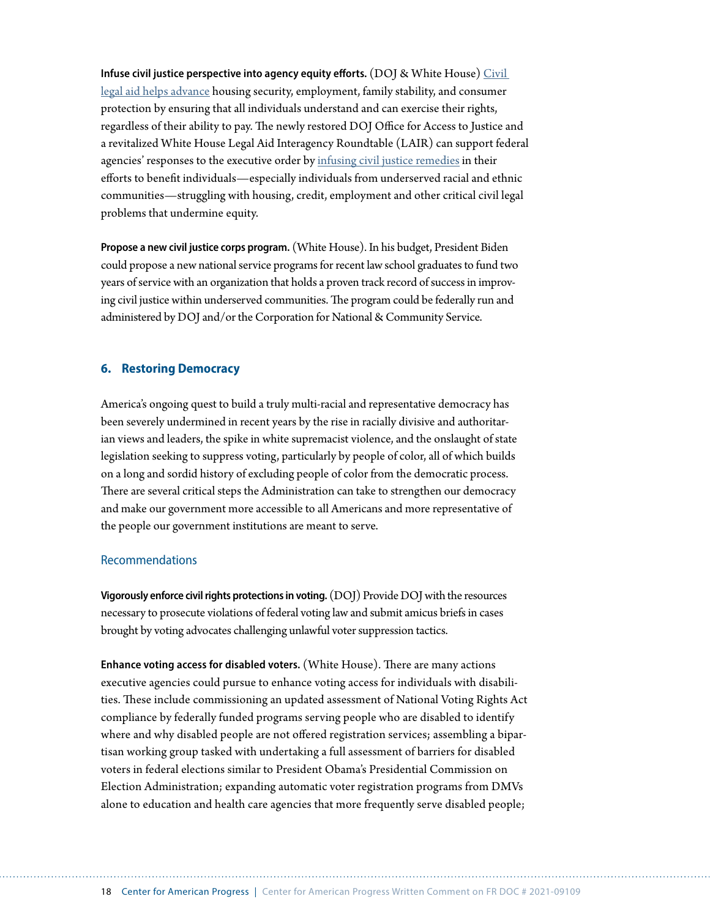**Infuse civil justice perspective into agency equity efforts.** (DOJ & White House) [Civil](https://www.american.edu/spa/jpo/toolkit/module-1.cfm)  [legal aid helps advance](https://www.american.edu/spa/jpo/toolkit/module-1.cfm) housing security, employment, family stability, and consumer protection by ensuring that all individuals understand and can exercise their rights, regardless of their ability to pay. The newly restored DOJ Office for Access to Justice and a revitalized White House Legal Aid Interagency Roundtable (LAIR) can support federal agencies' responses to the executive order by [infusing civil justice remedies](https://www.americanprogress.org/issues/courts/news/2021/04/08/497950/justice-requires-access-justice/) in their efforts to benefit individuals—especially individuals from underserved racial and ethnic communities—struggling with housing, credit, employment and other critical civil legal problems that undermine equity.

**Propose a new civil justice corps program.** (White House). In his budget, President Biden could propose a new national service programs for recent law school graduates to fund two years of service with an organization that holds a proven track record of success in improving civil justice within underserved communities. The program could be federally run and administered by DOJ and/or the Corporation for National & Community Service.

#### **6. Restoring Democracy**

America's ongoing quest to build a truly multi-racial and representative democracy has been severely undermined in recent years by the rise in racially divisive and authoritarian views and leaders, the spike in white supremacist violence, and the onslaught of state legislation seeking to suppress voting, particularly by people of color, all of which builds on a long and sordid history of excluding people of color from the democratic process. There are several critical steps the Administration can take to strengthen our democracy and make our government more accessible to all Americans and more representative of the people our government institutions are meant to serve.

#### Recommendations

**Vigorously enforce civil rights protections in voting.** (DOJ) Provide DOJ with the resources necessary to prosecute violations of federal voting law and submit amicus briefs in cases brought by voting advocates challenging unlawful voter suppression tactics.

**Enhance voting access for disabled voters.** (White House). There are many actions executive agencies could pursue to enhance voting access for individuals with disabilities. These include commissioning an updated assessment of National Voting Rights Act compliance by federally funded programs serving people who are disabled to identify where and why disabled people are not offered registration services; assembling a bipartisan working group tasked with undertaking a full assessment of barriers for disabled voters in federal elections similar to President Obama's Presidential Commission on Election Administration; expanding automatic voter registration programs from DMVs alone to education and health care agencies that more frequently serve disabled people;